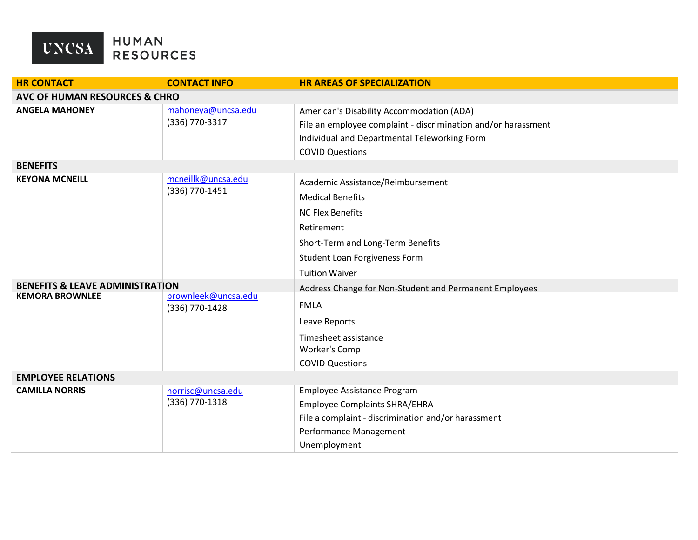

| <b>HR CONTACT</b>                          | <b>CONTACT INFO</b>                  | <b>HR AREAS OF SPECIALIZATION</b>                             |  |  |
|--------------------------------------------|--------------------------------------|---------------------------------------------------------------|--|--|
| <b>AVC OF HUMAN RESOURCES &amp; CHRO</b>   |                                      |                                                               |  |  |
| <b>ANGELA MAHONEY</b>                      | mahoneya@uncsa.edu                   | American's Disability Accommodation (ADA)                     |  |  |
|                                            | (336) 770-3317                       | File an employee complaint - discrimination and/or harassment |  |  |
|                                            |                                      | Individual and Departmental Teleworking Form                  |  |  |
|                                            |                                      | <b>COVID Questions</b>                                        |  |  |
| <b>BENEFITS</b>                            |                                      |                                                               |  |  |
| <b>KEYONA MCNEILL</b>                      | mcneillk@uncsa.edu<br>(336) 770-1451 | Academic Assistance/Reimbursement                             |  |  |
|                                            |                                      | <b>Medical Benefits</b>                                       |  |  |
|                                            |                                      | <b>NC Flex Benefits</b>                                       |  |  |
|                                            |                                      | Retirement                                                    |  |  |
|                                            |                                      | Short-Term and Long-Term Benefits                             |  |  |
|                                            |                                      | Student Loan Forgiveness Form                                 |  |  |
|                                            |                                      | <b>Tuition Waiver</b>                                         |  |  |
| <b>BENEFITS &amp; LEAVE ADMINISTRATION</b> |                                      | Address Change for Non-Student and Permanent Employees        |  |  |
| <b>KEMORA BROWNLEE</b>                     | brownleek@uncsa.edu                  | <b>FMLA</b>                                                   |  |  |
|                                            | (336) 770-1428                       |                                                               |  |  |
|                                            |                                      | Leave Reports                                                 |  |  |
|                                            |                                      | Timesheet assistance                                          |  |  |
|                                            |                                      | Worker's Comp                                                 |  |  |
|                                            |                                      | <b>COVID Questions</b>                                        |  |  |
| <b>EMPLOYEE RELATIONS</b>                  |                                      |                                                               |  |  |
| <b>CAMILLA NORRIS</b>                      | norrisc@uncsa.edu<br>(336) 770-1318  | Employee Assistance Program                                   |  |  |
|                                            |                                      | <b>Employee Complaints SHRA/EHRA</b>                          |  |  |
|                                            |                                      | File a complaint - discrimination and/or harassment           |  |  |
|                                            |                                      | Performance Management                                        |  |  |
|                                            |                                      | Unemployment                                                  |  |  |